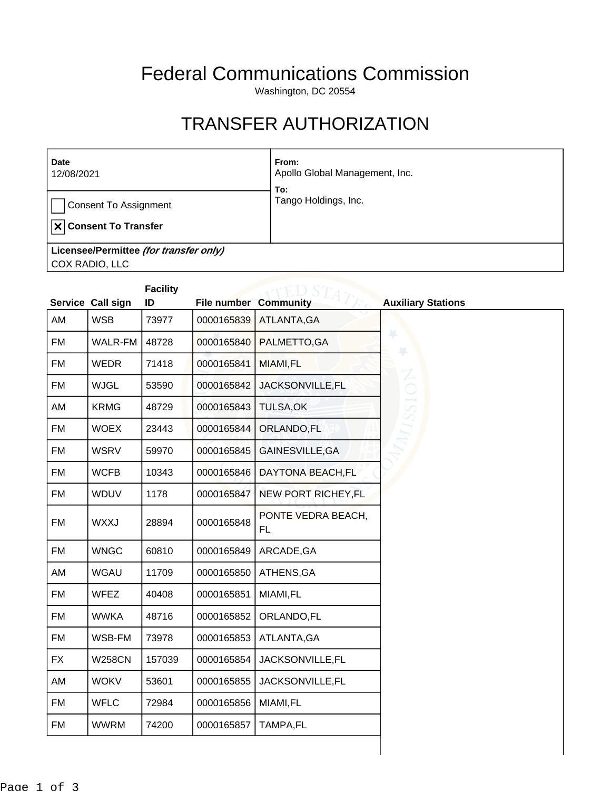## Federal Communications Commission

Washington, DC 20554

## TRANSFER AUTHORIZATION

| <b>Date</b><br>12/08/2021              | From:<br>Apollo Global Management, Inc.<br>To:                                                                                                                                                                                                                                                                                                                                                                                    |
|----------------------------------------|-----------------------------------------------------------------------------------------------------------------------------------------------------------------------------------------------------------------------------------------------------------------------------------------------------------------------------------------------------------------------------------------------------------------------------------|
| <b>Consent To Assignment</b>           | Tango Holdings, Inc.                                                                                                                                                                                                                                                                                                                                                                                                              |
| $ \mathbf{x} $ Consent To Transfer     |                                                                                                                                                                                                                                                                                                                                                                                                                                   |
| Licensee/Permittee (for transfer only) |                                                                                                                                                                                                                                                                                                                                                                                                                                   |
| COX RADIO, LLC                         |                                                                                                                                                                                                                                                                                                                                                                                                                                   |
|                                        | $\begin{array}{ccc}\n\mathbf{1} & \mathbf{1} & \mathbf{1} & \mathbf{1} & \mathbf{1} & \mathbf{1} & \mathbf{1} & \mathbf{1} & \mathbf{1} & \mathbf{1} & \mathbf{1} & \mathbf{1} & \mathbf{1} & \mathbf{1} & \mathbf{1} & \mathbf{1} & \mathbf{1} & \mathbf{1} & \mathbf{1} & \mathbf{1} & \mathbf{1} & \mathbf{1} & \mathbf{1} & \mathbf{1} & \mathbf{1} & \mathbf{1} & \mathbf{1} & \mathbf{1} & \mathbf{1} & \mathbf{1} & \math$ |

|           |                   | <b>Facility</b> |                              |                                 |                           |
|-----------|-------------------|-----------------|------------------------------|---------------------------------|---------------------------|
|           | Service Call sign | ID              | <b>File number Community</b> |                                 | <b>Auxiliary Stations</b> |
| AM        | <b>WSB</b>        | 73977           | 0000165839                   | ATLANTA, GA                     |                           |
| <b>FM</b> | <b>WALR-FM</b>    | 48728           | 0000165840                   | PALMETTO, GA                    | ¥<br>¥                    |
| <b>FM</b> | <b>WEDR</b>       | 71418           | 0000165841                   | MIAMI,FL                        |                           |
| <b>FM</b> | <b>WJGL</b>       | 53590           | 0000165842                   | JACKSONVILLE, FL                |                           |
| AM        | <b>KRMG</b>       | 48729           | 0000165843                   | <b>TULSA, OK</b>                |                           |
| <b>FM</b> | <b>WOEX</b>       | 23443           | 0000165844                   | ORLANDO, FL                     |                           |
| <b>FM</b> | <b>WSRV</b>       | 59970           | 0000165845                   | GAINESVILLE, GA                 |                           |
| <b>FM</b> | <b>WCFB</b>       | 10343           | 0000165846                   | DAYTONA BEACH,FL                |                           |
| FM        | WDUV              | 1178            | 0000165847                   | NEW PORT RICHEY, FL             |                           |
| <b>FM</b> | <b>WXXJ</b>       | 28894           | 0000165848                   | PONTE VEDRA BEACH,<br><b>FL</b> |                           |
| <b>FM</b> | <b>WNGC</b>       | 60810           | 0000165849                   | ARCADE, GA                      |                           |
| AM        | <b>WGAU</b>       | 11709           | 0000165850                   | ATHENS, GA                      |                           |
| <b>FM</b> | <b>WFEZ</b>       | 40408           | 0000165851                   | MIAMI,FL                        |                           |
| FM        | <b>WWKA</b>       | 48716           | 0000165852                   | ORLANDO, FL                     |                           |
| <b>FM</b> | WSB-FM            | 73978           | 0000165853                   | ATLANTA, GA                     |                           |
| <b>FX</b> | <b>W258CN</b>     | 157039          | 0000165854                   | JACKSONVILLE, FL                |                           |
| AM        | <b>WOKV</b>       | 53601           | 0000165855                   | JACKSONVILLE, FL                |                           |
| <b>FM</b> | <b>WFLC</b>       | 72984           | 0000165856                   | MIAMI,FL                        |                           |
| <b>FM</b> | <b>WWRM</b>       | 74200           | 0000165857                   | TAMPA,FL                        |                           |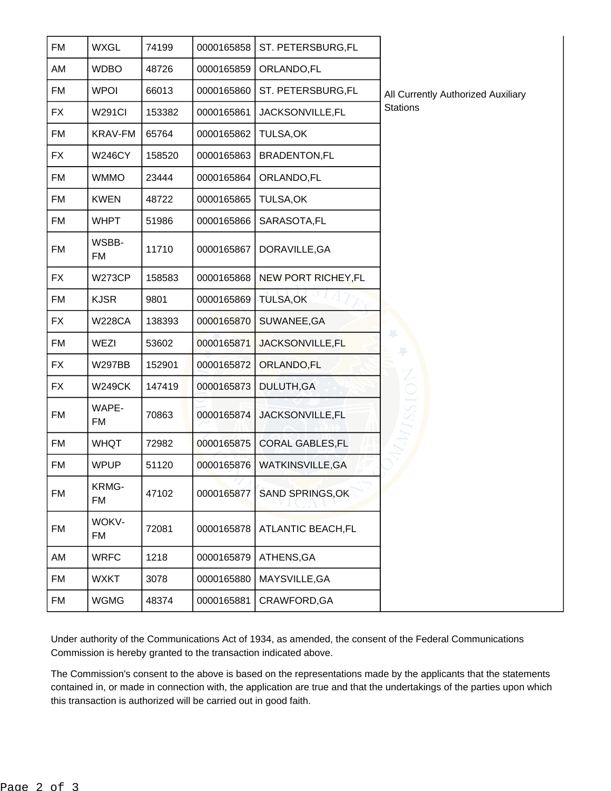| <b>FM</b> | <b>WXGL</b>   | 74199  | 0000165858 | ST. PETERSBURG,FL          |                                    |
|-----------|---------------|--------|------------|----------------------------|------------------------------------|
| AM        | <b>WDBO</b>   | 48726  | 0000165859 | ORLANDO, FL                |                                    |
| FM        | <b>WPOI</b>   | 66013  | 0000165860 | ST. PETERSBURG,FL          | All Currently Authorized Auxiliary |
| <b>FX</b> | <b>W291CI</b> | 153382 | 0000165861 | JACKSONVILLE, FL           | <b>Stations</b>                    |
| <b>FM</b> | KRAV-FM       | 65764  | 0000165862 | <b>TULSA,OK</b>            |                                    |
| <b>FX</b> | <b>W246CY</b> | 158520 | 0000165863 | <b>BRADENTON,FL</b>        |                                    |
| <b>FM</b> | <b>WMMO</b>   | 23444  | 0000165864 | ORLANDO, FL                |                                    |
| <b>FM</b> | <b>KWEN</b>   | 48722  | 0000165865 | TULSA, OK                  |                                    |
| <b>FM</b> | <b>WHPT</b>   | 51986  | 0000165866 | SARASOTA, FL               |                                    |
| <b>FM</b> | WSBB-<br>FM   | 11710  | 0000165867 | DORAVILLE, GA              |                                    |
| <b>FX</b> | <b>W273CP</b> | 158583 | 0000165868 | <b>NEW PORT RICHEY, FL</b> |                                    |
| FM        | <b>KJSR</b>   | 9801   | 0000165869 | <b>TULSA,OK</b>            |                                    |
| <b>FX</b> | <b>W228CA</b> | 138393 | 0000165870 | SUWANEE, GA                |                                    |
| <b>FM</b> | WEZI          | 53602  | 0000165871 | JACKSONVILLE, FL           | ¥                                  |
| <b>FX</b> | <b>W297BB</b> | 152901 | 0000165872 | ORLANDO, FL                |                                    |
| <b>FX</b> | <b>W249CK</b> | 147419 | 0000165873 | <b>DULUTH, GA</b>          |                                    |
| <b>FM</b> | WAPE-<br>FM   | 70863  | 0000165874 | JACKSONVILLE, FL           |                                    |
| FM        | <b>WHQT</b>   | 72982  | 0000165875 | <b>CORAL GABLES, FL</b>    |                                    |
| <b>FM</b> | <b>WPUP</b>   | 51120  | 0000165876 | WATKINSVILLE, GA           |                                    |
| <b>FM</b> | KRMG-<br>FM   | 47102  | 0000165877 | <b>SAND SPRINGS, OK</b>    |                                    |
| <b>FM</b> | WOKV-<br>FM   | 72081  | 0000165878 | <b>ATLANTIC BEACH,FL</b>   |                                    |
| AM        | <b>WRFC</b>   | 1218   | 0000165879 | ATHENS, GA                 |                                    |
| FM        | <b>WXKT</b>   | 3078   | 0000165880 | MAYSVILLE, GA              |                                    |
| FM        | <b>WGMG</b>   | 48374  | 0000165881 | CRAWFORD, GA               |                                    |

Under authority of the Communications Act of 1934, as amended, the consent of the Federal Communications Commission is hereby granted to the transaction indicated above.

The Commission's consent to the above is based on the representations made by the applicants that the statements contained in, or made in connection with, the application are true and that the undertakings of the parties upon which this transaction is authorized will be carried out in good faith.